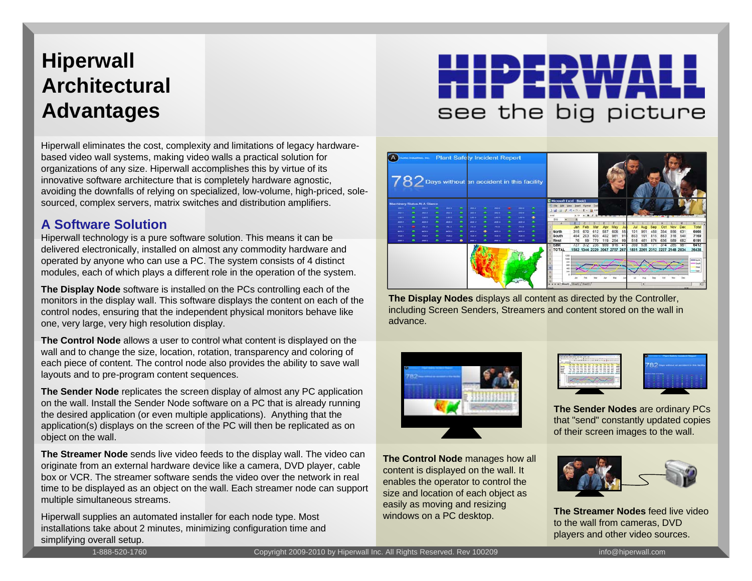## **Hiperwall Architectural Advantages**

Hiperwall eliminates the cost, complexity and limitations of legacy hardwarebased video wall systems, making video walls a practical solution for organizations of any size. Hiperwall accomplishes this by virtue of its innovative software architecture that is completely hardware agnostic, avoiding the downfalls of relying on specialized, low-volume, high-priced, solesourced, complex servers, matrix switches and distribution amplifiers.

#### **A Software Solution**

Hiperwall technology is a pure software solution. This means it can be delivered electronically, installed on almost any commodity hardware and operated by anyone who can use a PC. The system consists of 4 distinct modules, each of which plays a different role in the operation of the system.

**The Display Node** software is installed on the PCs controlling each of the monitors in the display wall. This software displays the content on each of the control nodes, ensuring that the independent physical monitors behave like one, very large, very high resolution display.

**The Control Node** allows a user to control what content is displayed on the wall and to change the size, location, rotation, transparency and coloring of each piece of content. The control node also provides the ability to save wall layouts and to pre-program content sequences.

**The Sender Node** replicates the screen display of almost any PC application on the wall. Install the Sender Node software on a PC that is already running the desired application (or even multiple applications). Anything that the application(s) displays on the screen of the PC will then be replicated as on object on the wall.

**The Streamer Node** sends live video feeds to the display wall. The video can originate from an external hardware device like a camera, DVD player, cable box or VCR. The streamer software sends the video over the network in real time to be displayed as an object on the wall. Each streamer node can support multiple simultaneous streams.

Hiperwall supplies an automated installer for each node type. Most installations take about 2 minutes, minimizing configuration time and simplifying overall setup.

# see the big picture



**The Display Nodes** displays all content as directed by the Controller, including Screen Senders, Strea mers and content stored on the wall in advance.



content is displayed on the wall. It enables the operator to control the size and location of each object as easily as moving and resizing windows on a PC desktop.





**The Sender Nodes** are ordinary PCs that "send" constantly updated copies of their screen images to the wall.



**The StreamerNodes** feed live video to the wall from cameras, DVD pla y ers and other video sources.

1-888-520-1760